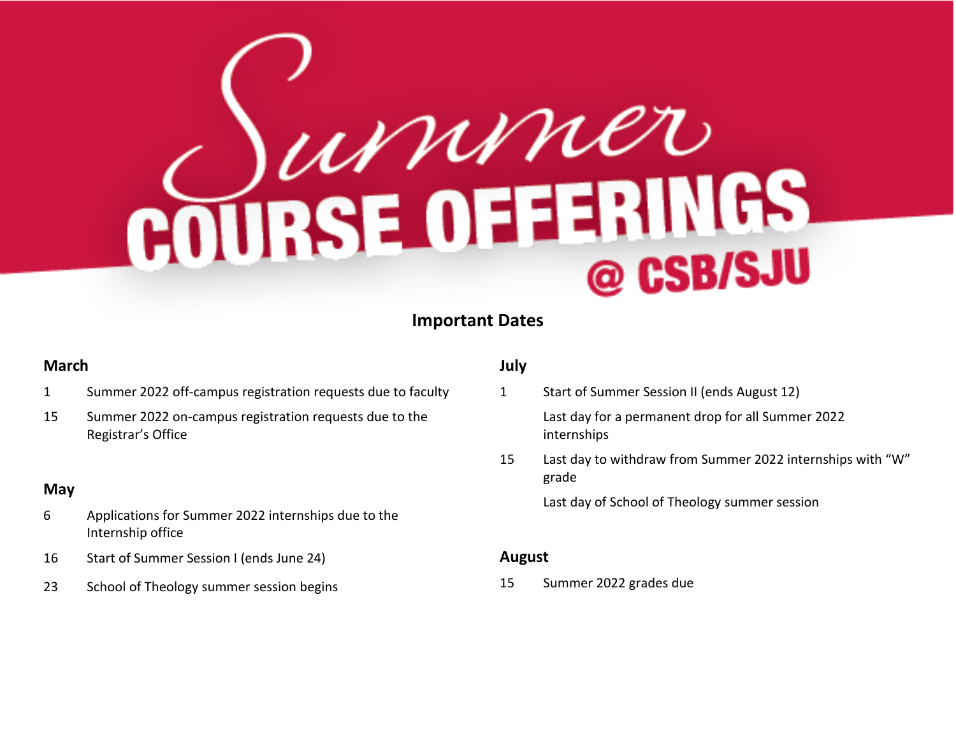# COURSE OFFERINGS @ CSB/SJU

## **Important Dates**

### **March**

- 1 Summer 2022 off-campus registration requests due to faculty
- 15 Summer 2022 on-campus registration requests due to the Registrar's Office

#### **May**

- 6 Applications for Summer 2022 internships due to the Internship office
- 16 Start of Summer Session I (ends June 24)
- 23 School of Theology summer session begins

### **July**

- 1 Start of Summer Session II (ends August 12) Last day for a permanent drop for all Summer 2022 internships
- 15 Last day to withdraw from Summer 2022 internships with "W" grade

Last day of School of Theology summer session

#### **August**

15 Summer 2022 grades due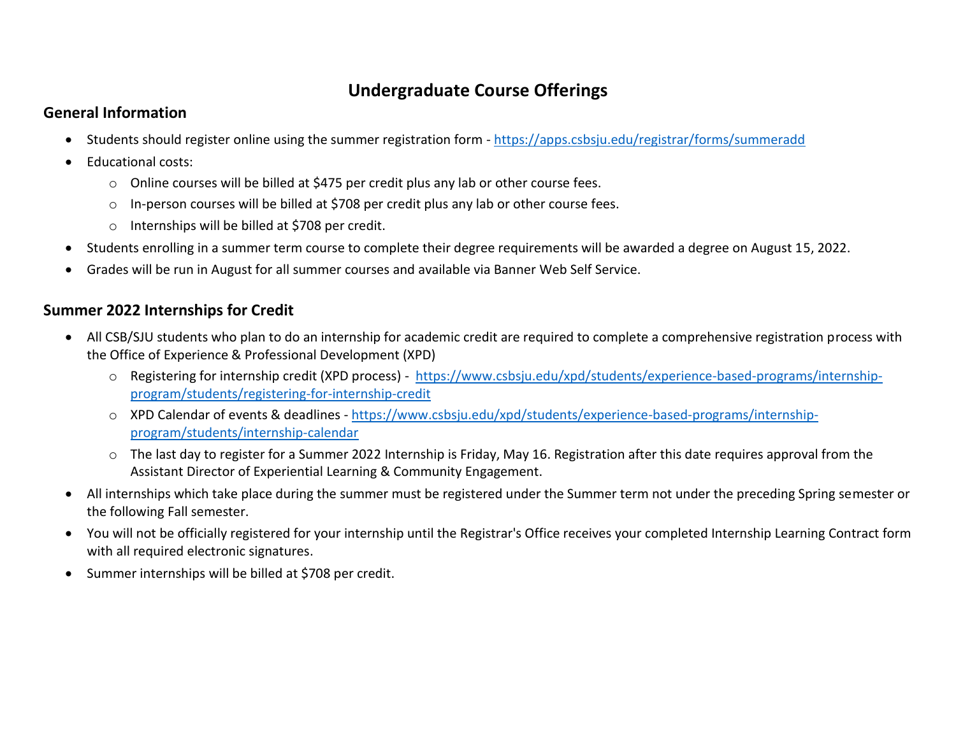## **Undergraduate Course Offerings**

## **General Information**

- Students should register online using the summer registration form <https://apps.csbsju.edu/registrar/forms/summeradd>
- Educational costs:
	- $\circ$  Online courses will be billed at \$475 per credit plus any lab or other course fees.
	- o In-person courses will be billed at \$708 per credit plus any lab or other course fees.
	- o Internships will be billed at \$708 per credit.
- Students enrolling in a summer term course to complete their degree requirements will be awarded a degree on August 15, 2022.
- Grades will be run in August for all summer courses and available via Banner Web Self Service.

## **Summer 2022 Internships for Credit**

- All CSB/SJU students who plan to do an internship for academic credit are required to complete a comprehensive registration process with the Office of Experience & Professional Development (XPD)
	- o Registering for internship credit (XPD process) [https://www.csbsju.edu/xpd/students/experience-based-programs/internship](https://www.csbsju.edu/xpd/students/experience-based-programs/internship-program/students/registering-for-internship-credit)[program/students/registering-for-internship-credit](https://www.csbsju.edu/xpd/students/experience-based-programs/internship-program/students/registering-for-internship-credit)
	- o XPD Calendar of events & deadlines [https://www.csbsju.edu/xpd/students/experience-based-programs/internship](https://www.csbsju.edu/xpd/students/experience-based-programs/internship-program/students/internship-calendar)[program/students/internship-calendar](https://www.csbsju.edu/xpd/students/experience-based-programs/internship-program/students/internship-calendar)
	- $\circ$  The last day to register for a Summer 2022 Internship is Friday, May 16. Registration after this date requires approval from the Assistant Director of Experiential Learning & Community Engagement.
- All internships which take place during the summer must be registered under the Summer term not under the preceding Spring semester or the following Fall semester.
- You will not be officially registered for your internship until the Registrar's Office receives your completed Internship Learning Contract form with all required electronic signatures.
- Summer internships will be billed at \$708 per credit.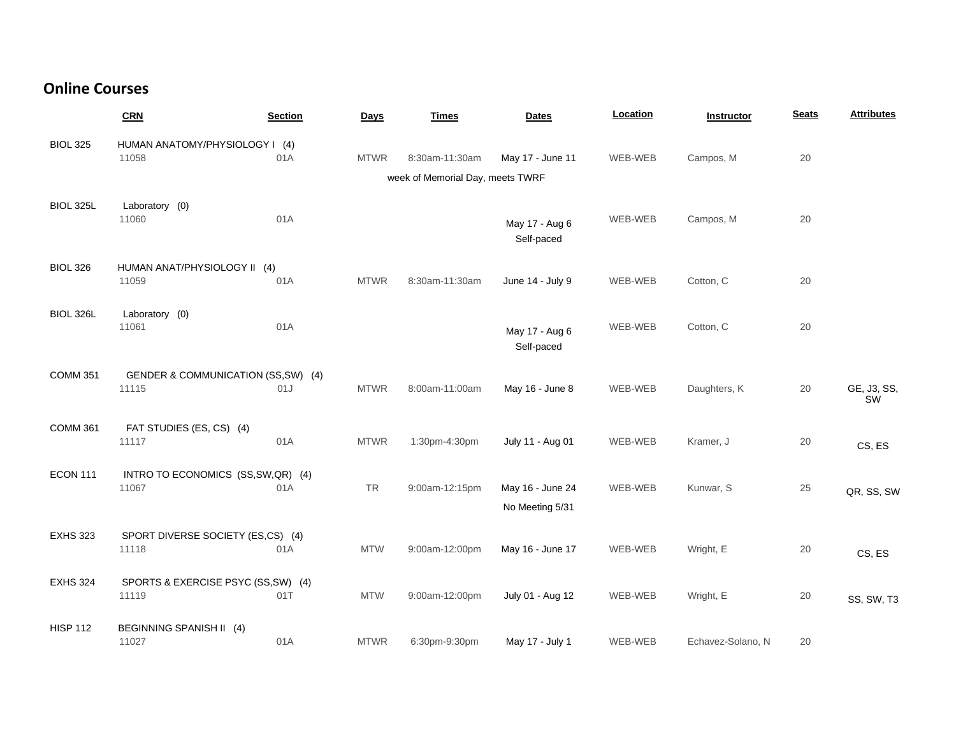## **Online Courses**

|                 | CRN                                          | <b>Section</b> | Days        | <b>Times</b>                     | <b>Dates</b>                        | Location | Instructor        | <b>Seats</b> | <b>Attributes</b> |
|-----------------|----------------------------------------------|----------------|-------------|----------------------------------|-------------------------------------|----------|-------------------|--------------|-------------------|
| <b>BIOL 325</b> | HUMAN ANATOMY/PHYSIOLOGY I (4)<br>11058      | 01A            | <b>MTWR</b> | 8:30am-11:30am                   | May 17 - June 11                    | WEB-WEB  | Campos, M         | 20           |                   |
|                 |                                              |                |             | week of Memorial Day, meets TWRF |                                     |          |                   |              |                   |
| BIOL 325L       | Laboratory (0)<br>11060                      | 01A            |             |                                  | May 17 - Aug 6<br>Self-paced        | WEB-WEB  | Campos, M         | 20           |                   |
| <b>BIOL 326</b> | HUMAN ANAT/PHYSIOLOGY II (4)<br>11059        | 01A            | <b>MTWR</b> | 8:30am-11:30am                   | June 14 - July 9                    | WEB-WEB  | Cotton, C         | 20           |                   |
| BIOL 326L       | Laboratory (0)<br>11061                      | 01A            |             |                                  | May 17 - Aug 6<br>Self-paced        | WEB-WEB  | Cotton, C         | 20           |                   |
| <b>COMM 351</b> | GENDER & COMMUNICATION (SS,SW) (4)<br>11115  | 01J            | <b>MTWR</b> | 8:00am-11:00am                   | May 16 - June 8                     | WEB-WEB  | Daughters, K      | 20           | GE, J3, SS,<br>SW |
| <b>COMM 361</b> | FAT STUDIES (ES, CS) (4)<br>11117            | 01A            | <b>MTWR</b> | 1:30pm-4:30pm                    | July 11 - Aug 01                    | WEB-WEB  | Kramer, J         | 20           | CS, ES            |
| <b>ECON 111</b> | INTRO TO ECONOMICS (SS, SW, QR) (4)<br>11067 | 01A            | TR          | 9:00am-12:15pm                   | May 16 - June 24<br>No Meeting 5/31 | WEB-WEB  | Kunwar, S         | 25           | QR, SS, SW        |
| <b>EXHS 323</b> | SPORT DIVERSE SOCIETY (ES,CS) (4)<br>11118   | 01A            | <b>MTW</b>  | 9:00am-12:00pm                   | May 16 - June 17                    | WEB-WEB  | Wright, E         | 20           | CS, ES            |
| <b>EXHS 324</b> | SPORTS & EXERCISE PSYC (SS, SW) (4)<br>11119 | 01T            | <b>MTW</b>  | 9:00am-12:00pm                   | July 01 - Aug 12                    | WEB-WEB  | Wright, E         | 20           | SS, SW, T3        |
| <b>HISP 112</b> | BEGINNING SPANISH II (4)<br>11027            | 01A            | <b>MTWR</b> | 6:30pm-9:30pm                    | May 17 - July 1                     | WEB-WEB  | Echavez-Solano, N | 20           |                   |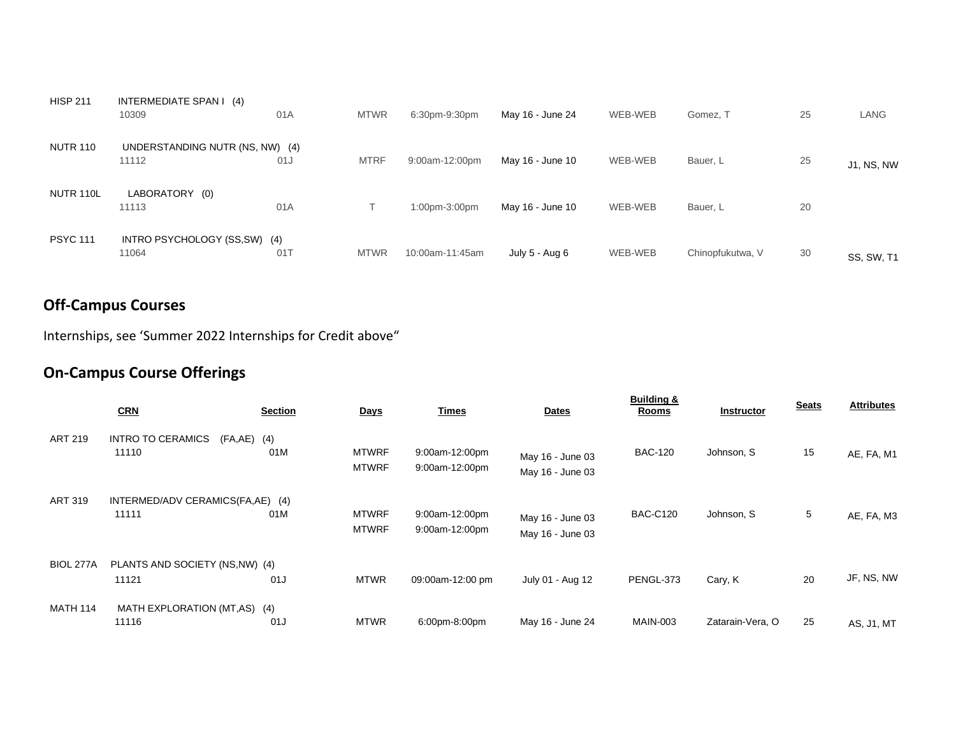| <b>HISP 211</b>  | INTERMEDIATE SPAN I (4)<br>10309         | 01A | <b>MTWR</b> | 6:30pm-9:30pm   | May 16 - June 24 | WEB-WEB | Gomez, T         | 25 | LANG              |
|------------------|------------------------------------------|-----|-------------|-----------------|------------------|---------|------------------|----|-------------------|
| <b>NUTR 110</b>  | UNDERSTANDING NUTR (NS, NW) (4)<br>11112 | 01J | <b>MTRF</b> | 9:00am-12:00pm  | May 16 - June 10 | WEB-WEB | Bauer, L         | 25 | <b>J1, NS, NW</b> |
| <b>NUTR 110L</b> | LABORATORY (0)<br>11113                  | 01A |             | 1:00pm-3:00pm   | May 16 - June 10 | WEB-WEB | Bauer, L         | 20 |                   |
| <b>PSYC 111</b>  | INTRO PSYCHOLOGY (SS, SW) (4)<br>11064   | 017 | <b>MTWR</b> | 10:00am-11:45am | July 5 - Aug 6   | WEB-WEB | Chinopfukutwa, V | 30 | <b>SS, SW, T1</b> |

# **Off-Campus Courses**

Internships, see 'Summer 2022 Internships for Credit above"

# **On-Campus Course Offerings**

|                 | CRN                                          | <b>Section</b> | <b>Days</b>                  | <b>Times</b>                     | <b>Dates</b>                         | <b>Building &amp;</b><br>Rooms | <b>Instructor</b> | <b>Seats</b> | <b>Attributes</b> |
|-----------------|----------------------------------------------|----------------|------------------------------|----------------------------------|--------------------------------------|--------------------------------|-------------------|--------------|-------------------|
| <b>ART 219</b>  | <b>INTRO TO CERAMICS</b><br>(FA,AE)<br>11110 | (4)<br>01M     | <b>MTWRF</b><br><b>MTWRF</b> | 9:00am-12:00pm<br>9:00am-12:00pm | May 16 - June 03<br>May 16 - June 03 | <b>BAC-120</b>                 | Johnson, S        | 15           | AE, FA, M1        |
| <b>ART 319</b>  | INTERMED/ADV CERAMICS(FA,AE) (4)<br>11111    | 01M            | <b>MTWRF</b><br><b>MTWRF</b> | 9:00am-12:00pm<br>9:00am-12:00pm | May 16 - June 03<br>May 16 - June 03 | <b>BAC-C120</b>                | Johnson, S        | 5            | AE, FA, M3        |
| BIOL 277A       | PLANTS AND SOCIETY (NS, NW) (4)<br>11121     | 01J            | <b>MTWR</b>                  | 09:00am-12:00 pm                 | July 01 - Aug 12                     | PENGL-373                      | Cary, K           | 20           | JF, NS, NW        |
| <b>MATH 114</b> | MATH EXPLORATION (MT,AS)<br>11116            | (4)<br>01J     | <b>MTWR</b>                  | 6:00pm-8:00pm                    | May 16 - June 24                     | <b>MAIN-003</b>                | Zatarain-Vera, O  | 25           | AS, J1, MT        |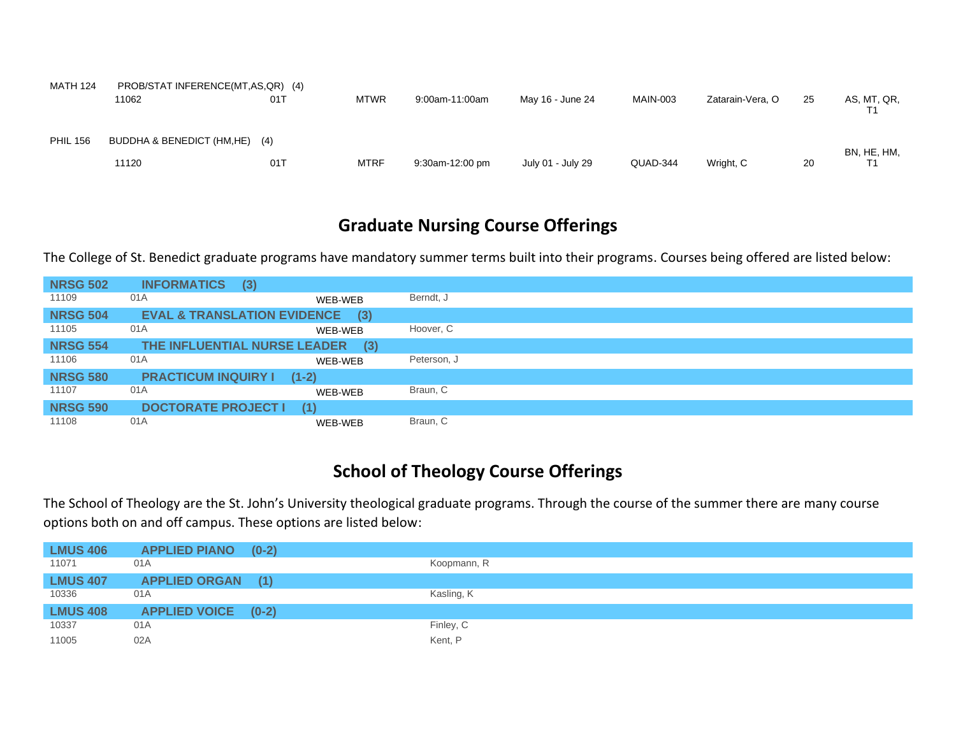| <b>MATH 124</b> | PROB/STAT INFERENCE(MT,AS,QR) (4) |     |             |                 |                   |          |                  |    |             |
|-----------------|-----------------------------------|-----|-------------|-----------------|-------------------|----------|------------------|----|-------------|
|                 | 11062                             | 01T | <b>MTWR</b> | 9:00am-11:00am  | May 16 - June 24  | MAIN-003 | Zatarain-Vera, O | 25 | AS, MT, QR, |
| <b>PHIL 156</b> | BUDDHA & BENEDICT (HM,HE)         | (4) |             |                 |                   |          |                  |    | BN, HE, HM, |
|                 | 11120                             | 01T | <b>MTRF</b> | 9:30am-12:00 pm | July 01 - July 29 | QUAD-344 | Wright, C        | 20 |             |

## **Graduate Nursing Course Offerings**

The College of St. Benedict graduate programs have mandatory summer terms built into their programs. Courses being offered are listed below:

| <b>NRSG 502</b> | <b>INFORMATICS</b>         | (3)                                           |             |
|-----------------|----------------------------|-----------------------------------------------|-------------|
| 11109           | 01A                        | WEB-WEB                                       | Berndt, J   |
| <b>NRSG 504</b> |                            | <b>EVAL &amp; TRANSLATION EVIDENCE</b><br>(3) |             |
| 11105           | 01A                        | WEB-WEB                                       | Hoover, C   |
| <b>NRSG 554</b> |                            | THE INFLUENTIAL NURSE LEADER (3)              |             |
| 11106           | 01A                        | WEB-WEB                                       | Peterson, J |
| <b>NRSG 580</b> | <b>PRACTICUM INQUIRY I</b> | $(1-2)$                                       |             |
| 11107           | 01A                        | WEB-WEB                                       | Braun, C    |
| <b>NRSG 590</b> | <b>DOCTORATE PROJECT I</b> | (1)                                           |             |
| 11108           | 01A                        | WEB-WEB                                       | Braun, C    |

# **School of Theology Course Offerings**

The School of Theology are the St. John's University theological graduate programs. Through the course of the summer there are many course options both on and off campus. These options are listed below:

| <b>LMUS 406</b> | <b>APPLIED PIANO (0-2)</b> |             |
|-----------------|----------------------------|-------------|
| 11071           | 01A                        | Koopmann, R |
| <b>LMUS 407</b> | <b>APPLIED ORGAN (1)</b>   |             |
| 10336           | 01A                        | Kasling, K  |
| <b>LMUS 408</b> | <b>APPLIED VOICE (0-2)</b> |             |
| 10337           | 01A                        | Finley, C   |
| 11005           | 02A                        | Kent, P     |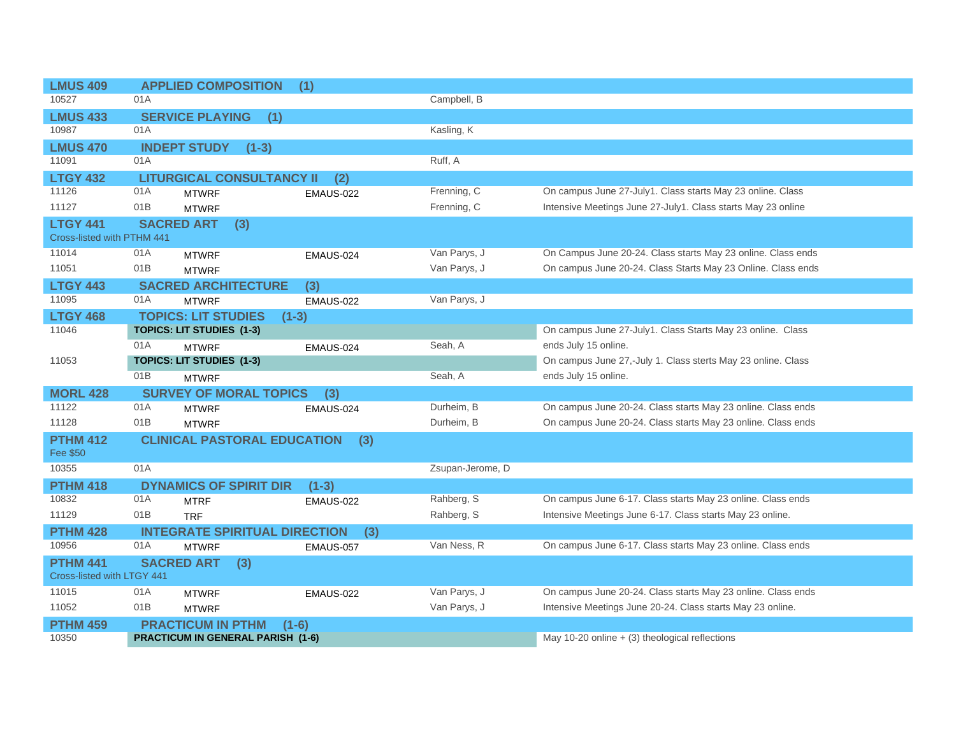| <b>LMUS 409</b>            |                            | <b>APPLIED COMPOSITION</b>               | (1)              |                  |                                                              |
|----------------------------|----------------------------|------------------------------------------|------------------|------------------|--------------------------------------------------------------|
| 10527                      | 01A                        |                                          |                  | Campbell, B      |                                                              |
| <b>LMUS 433</b>            | <b>SERVICE PLAYING</b>     | (1)                                      |                  |                  |                                                              |
| 10987                      | 01A                        |                                          |                  | Kasling, K       |                                                              |
| <b>LMUS 470</b>            | <b>INDEPT STUDY</b>        | $(1-3)$                                  |                  |                  |                                                              |
| 11091                      | 01A                        |                                          |                  | Ruff, A          |                                                              |
| <b>LTGY 432</b>            |                            | <b>LITURGICAL CONSULTANCY II</b>         | (2)              |                  |                                                              |
| 11126                      | 01A<br><b>MTWRF</b>        |                                          | <b>EMAUS-022</b> | Frenning, C      | On campus June 27-July1. Class starts May 23 online. Class   |
| 11127                      | 01B<br><b>MTWRF</b>        |                                          |                  | Frenning, C      | Intensive Meetings June 27-July1. Class starts May 23 online |
| <b>LTGY 441</b>            | <b>SACRED ART</b>          | (3)                                      |                  |                  |                                                              |
| Cross-listed with PTHM 441 |                            |                                          |                  |                  |                                                              |
| 11014                      | 01A<br><b>MTWRF</b>        |                                          | EMAUS-024        | Van Parys, J     | On Campus June 20-24. Class starts May 23 online. Class ends |
| 11051                      | 01B<br><b>MTWRF</b>        |                                          |                  | Van Parys, J     | On campus June 20-24. Class Starts May 23 Online. Class ends |
| <b>LTGY 443</b>            |                            | <b>SACRED ARCHITECTURE</b>               | (3)              |                  |                                                              |
| 11095                      | 01A<br><b>MTWRF</b>        |                                          | EMAUS-022        | Van Parys, J     |                                                              |
| <b>LTGY 468</b>            | <b>TOPICS: LIT STUDIES</b> | $(1-3)$                                  |                  |                  |                                                              |
| 11046                      | TOPICS: LIT STUDIES (1-3)  |                                          |                  |                  | On campus June 27-July1. Class Starts May 23 online. Class   |
|                            | 01A<br><b>MTWRF</b>        |                                          | EMAUS-024        | Seah. A          | ends July 15 online.                                         |
| 11053                      | TOPICS: LIT STUDIES (1-3)  |                                          |                  |                  | On campus June 27,-July 1. Class sterts May 23 online. Class |
|                            | 01B<br><b>MTWRF</b>        |                                          |                  | Seah, A          | ends July 15 online.                                         |
| <b>MORL 428</b>            |                            | <b>SURVEY OF MORAL TOPICS</b>            | (3)              |                  |                                                              |
| 11122                      | 01A<br><b>MTWRF</b>        |                                          | EMAUS-024        | Durheim, B       | On campus June 20-24. Class starts May 23 online. Class ends |
| 11128                      | 01B<br><b>MTWRF</b>        |                                          |                  | Durheim, B       | On campus June 20-24. Class starts May 23 online. Class ends |
| <b>PTHM 412</b>            |                            | <b>CLINICAL PASTORAL EDUCATION</b>       | (3)              |                  |                                                              |
| Fee \$50                   |                            |                                          |                  |                  |                                                              |
| 10355                      | 01A                        |                                          |                  | Zsupan-Jerome, D |                                                              |
| <b>PTHM 418</b>            |                            | <b>DYNAMICS OF SPIRIT DIR</b>            | $(1-3)$          |                  |                                                              |
| 10832                      | 01A<br><b>MTRF</b>         |                                          | EMAUS-022        | Rahberg, S       | On campus June 6-17. Class starts May 23 online. Class ends  |
| 11129                      | 01B<br><b>TRF</b>          |                                          |                  | Rahberg, S       | Intensive Meetings June 6-17. Class starts May 23 online.    |
| <b>PTHM 428</b>            |                            | <b>INTEGRATE SPIRITUAL DIRECTION</b>     | (3)              |                  |                                                              |
| 10956                      | 01A<br><b>MTWRF</b>        |                                          | EMAUS-057        | Van Ness, R      | On campus June 6-17. Class starts May 23 online. Class ends  |
| <b>PTHM 441</b>            | <b>SACRED ART</b>          | (3)                                      |                  |                  |                                                              |
| Cross-listed with LTGY 441 |                            |                                          |                  |                  |                                                              |
| 11015                      | 01A<br><b>MTWRF</b>        |                                          | EMAUS-022        | Van Parys, J     | On campus June 20-24. Class starts May 23 online. Class ends |
| 11052                      | 01B<br><b>MTWRF</b>        |                                          |                  | Van Parys, J     | Intensive Meetings June 20-24. Class starts May 23 online.   |
| <b>PTHM 459</b>            | <b>PRACTICUM IN PTHM</b>   |                                          | $(1-6)$          |                  |                                                              |
| 10350                      |                            | <b>PRACTICUM IN GENERAL PARISH (1-6)</b> |                  |                  | May 10-20 online $+$ (3) theological reflections             |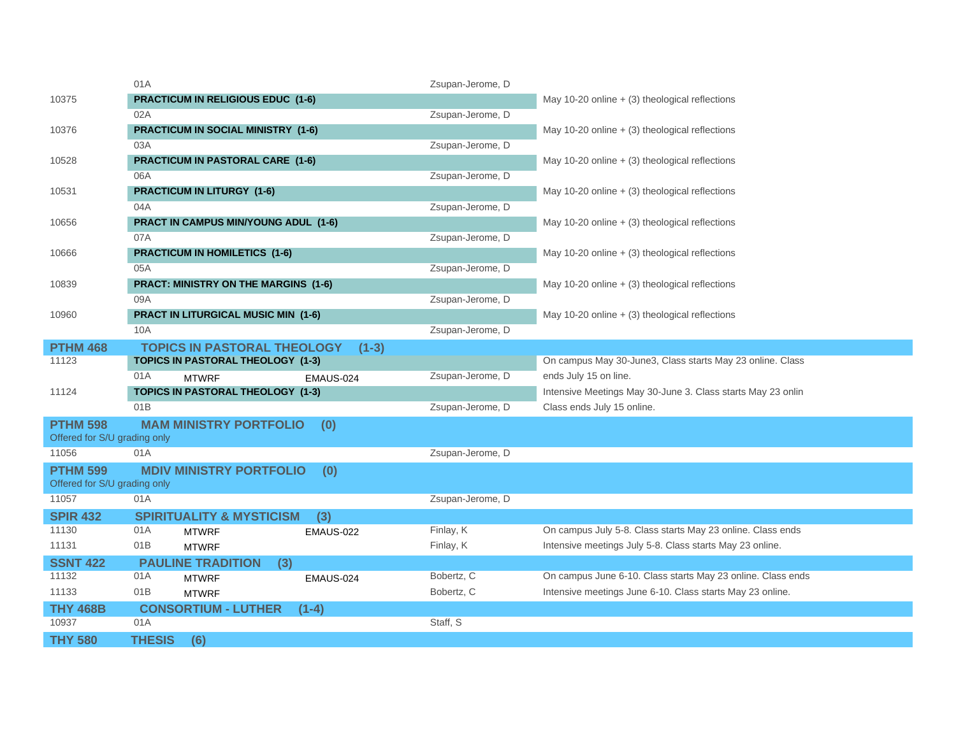|                                                 | 01A                                        | Zsupan-Jerome, D              |                                                             |
|-------------------------------------------------|--------------------------------------------|-------------------------------|-------------------------------------------------------------|
| 10375                                           | <b>PRACTICUM IN RELIGIOUS EDUC (1-6)</b>   |                               | May 10-20 online $+$ (3) theological reflections            |
|                                                 | 02A                                        | Zsupan-Jerome, D              |                                                             |
| 10376                                           | <b>PRACTICUM IN SOCIAL MINISTRY (1-6)</b>  |                               | May 10-20 online $+$ (3) theological reflections            |
|                                                 | 03A                                        | Zsupan-Jerome, D              |                                                             |
| 10528                                           | <b>PRACTICUM IN PASTORAL CARE (1-6)</b>    |                               | May 10-20 online $+$ (3) theological reflections            |
|                                                 | 06A                                        | Zsupan-Jerome, D              |                                                             |
| 10531                                           | <b>PRACTICUM IN LITURGY (1-6)</b>          |                               | May 10-20 online $+$ (3) theological reflections            |
|                                                 | 04A                                        | Zsupan-Jerome, D              |                                                             |
| 10656                                           | PRACT IN CAMPUS MIN/YOUNG ADUL (1-6)       |                               | May 10-20 online $+$ (3) theological reflections            |
|                                                 | 07A                                        | Zsupan-Jerome, D              |                                                             |
| 10666                                           | <b>PRACTICUM IN HOMILETICS (1-6)</b>       |                               | May 10-20 online $+$ (3) theological reflections            |
|                                                 | 05A                                        | Zsupan-Jerome, D              |                                                             |
| 10839                                           | PRACT: MINISTRY ON THE MARGINS (1-6)       |                               | May 10-20 online $+$ (3) theological reflections            |
|                                                 | 09A                                        | Zsupan-Jerome, D              |                                                             |
| 10960                                           | <b>PRACT IN LITURGICAL MUSIC MIN (1-6)</b> |                               | May 10-20 online $+$ (3) theological reflections            |
|                                                 | 10A                                        | Zsupan-Jerome, D              |                                                             |
| <b>PTHM 468</b>                                 | <b>TOPICS IN PASTORAL THEOLOGY</b>         | $(1-3)$                       |                                                             |
| 11123                                           | TOPICS IN PASTORAL THEOLOGY (1-3)          |                               | On campus May 30-June3, Class starts May 23 online. Class   |
|                                                 | 01A<br><b>MTWRF</b>                        | Zsupan-Jerome, D<br>EMAUS-024 | ends July 15 on line.                                       |
| 11124                                           | <b>TOPICS IN PASTORAL THEOLOGY (1-3)</b>   |                               | Intensive Meetings May 30-June 3. Class starts May 23 onlin |
|                                                 | 01B                                        | Zsupan-Jerome, D              | Class ends July 15 online.                                  |
| <b>PTHM 598</b><br>Offered for S/U grading only | <b>MAM MINISTRY PORTFOLIO</b><br>(0)       |                               |                                                             |
| 11056                                           | 01A                                        | Zsupan-Jerome, D              |                                                             |
| <b>PTHM 599</b>                                 | <b>MDIV MINISTRY PORTFOLIO</b><br>(0)      |                               |                                                             |
| Offered for S/U grading only                    |                                            |                               |                                                             |
| 11057                                           | 01A                                        | Zsupan-Jerome, D              |                                                             |
| <b>SPIR 432</b>                                 | <b>SPIRITUALITY &amp; MYSTICISM</b><br>(3) |                               |                                                             |
| 11130                                           | 01A<br><b>MTWRF</b>                        | Finlay, K<br><b>EMAUS-022</b> | On campus July 5-8. Class starts May 23 online. Class ends  |
| 11131                                           | 01B<br><b>MTWRF</b>                        | Finlay, K                     | Intensive meetings July 5-8. Class starts May 23 online.    |
| <b>SSNT 422</b>                                 | <b>PAULINE TRADITION</b><br>(3)            |                               |                                                             |
| 11132                                           | 01A<br><b>MTWRF</b>                        | Bobertz, C<br>EMAUS-024       | On campus June 6-10. Class starts May 23 online. Class ends |
| 11133                                           | 01B<br><b>MTWRF</b>                        | Bobertz, C                    | Intensive meetings June 6-10. Class starts May 23 online.   |
| <b>THY 468B</b>                                 | <b>CONSORTIUM - LUTHER</b><br>$(1-4)$      |                               |                                                             |
| 10937                                           | 01A                                        | Staff, S                      |                                                             |
| <b>THY 580</b>                                  | <b>THESIS</b><br>(6)                       |                               |                                                             |